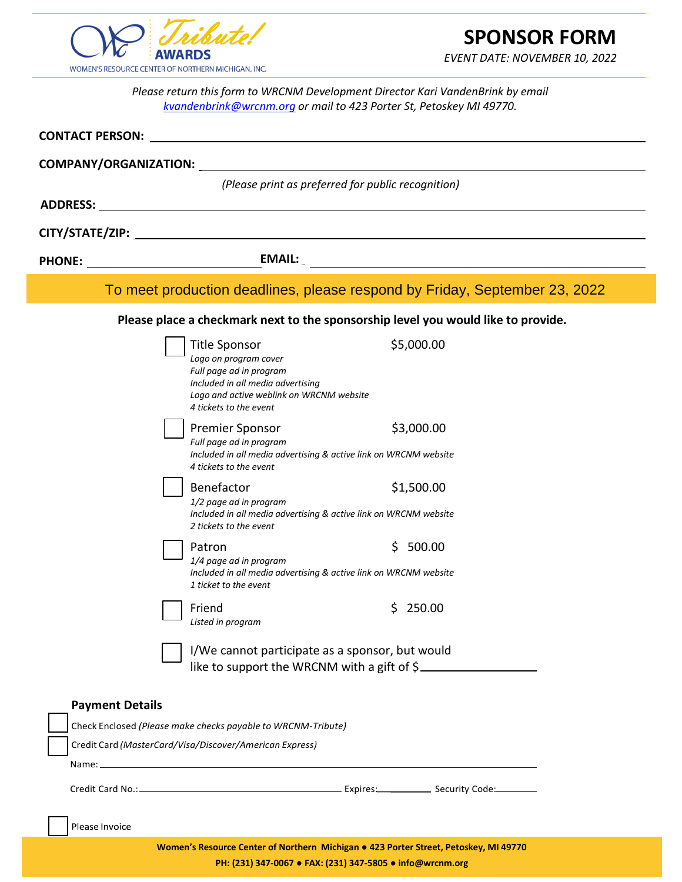

# **SPONSOR FORM**

*EVENT DATE: NOVEMBER 10, 2022*

*Please return this form to WRCNM Development Director Kari VandenBrink by email [kvandenbrink@wrcnm.org](mailto:kvandenbrink@wrcnm.org) or mail to 423 Porter St, Petoskey MI 49770.*

| <b>CONTACT PERSON:</b>                                                                         |                                                                                                                                                                                     |                                                                                                                                                                                                                                      |  |  |
|------------------------------------------------------------------------------------------------|-------------------------------------------------------------------------------------------------------------------------------------------------------------------------------------|--------------------------------------------------------------------------------------------------------------------------------------------------------------------------------------------------------------------------------------|--|--|
| <b>COMPANY/ORGANIZATION:</b>                                                                   |                                                                                                                                                                                     |                                                                                                                                                                                                                                      |  |  |
|                                                                                                | (Please print as preferred for public recognition)                                                                                                                                  |                                                                                                                                                                                                                                      |  |  |
| <b>ADDRESS:</b>                                                                                |                                                                                                                                                                                     |                                                                                                                                                                                                                                      |  |  |
|                                                                                                |                                                                                                                                                                                     |                                                                                                                                                                                                                                      |  |  |
| <b>PHONE:</b>                                                                                  |                                                                                                                                                                                     | <u>EMAIL: EMAIL: EMAIL: EMAIL: EMAIL: EMAIL: EMAIL: EMAIL: EMAIL: EMAIL: EMAIL: EMAIL: EMAIL: EMAIL: EMAIL: EMAIL: EMAIL: EMAIL: EMAIL: EMAIL: EMAIL: EMAIL: EMAIL: EMAIL: EMAIL: EMAIL: EMAIL: EMAIL: EMAIL: EMAIL: EMAIL: EMAI</u> |  |  |
| To meet production deadlines, please respond by Friday, September 23, 2022                     |                                                                                                                                                                                     |                                                                                                                                                                                                                                      |  |  |
| Please place a checkmark next to the sponsorship level you would like to provide.              |                                                                                                                                                                                     |                                                                                                                                                                                                                                      |  |  |
|                                                                                                | <b>Title Sponsor</b><br>Logo on program cover<br>Full page ad in program<br>Included in all media advertising<br>Logo and active weblink on WRCNM website<br>4 tickets to the event | \$5,000.00                                                                                                                                                                                                                           |  |  |
|                                                                                                | <b>Premier Sponsor</b><br>Full page ad in program<br>Included in all media advertising & active link on WRCNM website<br>4 tickets to the event                                     | \$3,000.00                                                                                                                                                                                                                           |  |  |
|                                                                                                | Benefactor<br>1/2 page ad in program<br>Included in all media advertising & active link on WRCNM website<br>2 tickets to the event                                                  | \$1,500.00                                                                                                                                                                                                                           |  |  |
|                                                                                                | Patron<br>1/4 page ad in program<br>Included in all media advertising & active link on WRCNM website<br>1 ticket to the event                                                       | 500.00<br>S                                                                                                                                                                                                                          |  |  |
|                                                                                                | Friend<br>Listed in program                                                                                                                                                         | 250.00<br>S                                                                                                                                                                                                                          |  |  |
| I/We cannot participate as a sponsor, but would<br>like to support the WRCNM with a gift of \$ |                                                                                                                                                                                     |                                                                                                                                                                                                                                      |  |  |
| <b>Payment Details</b>                                                                         | Check Enclosed (Please make checks payable to WRCNM-Tribute)<br>Credit Card (MasterCard/Visa/Discover/American Express)                                                             |                                                                                                                                                                                                                                      |  |  |
| Please Invoice                                                                                 |                                                                                                                                                                                     | Women's Resource Center of Northern Michigan . 423 Porter Street, Petoskey, MI 49770                                                                                                                                                 |  |  |